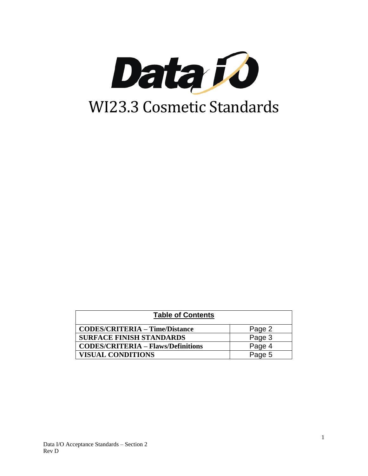

| <b>Table of Contents</b>                  |        |
|-------------------------------------------|--------|
| <b>CODES/CRITERIA – Time/Distance</b>     | Page 2 |
| <b>SURFACE FINISH STANDARDS</b>           | Page 3 |
| <b>CODES/CRITERIA - Flaws/Definitions</b> | Page 4 |
| <b>VISUAL CONDITIONS</b>                  | Page 5 |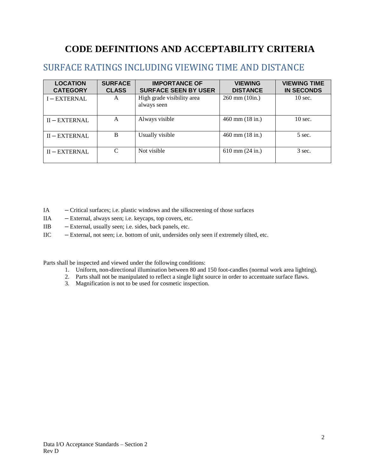# **CODE DEFINITIONS AND ACCEPTABILITY CRITERIA**

## SURFACE RATINGS INCLUDING VIEWING TIME AND DISTANCE

| <b>LOCATION</b><br><b>CATEGORY</b> | <b>SURFACE</b><br><b>CLASS</b> | <b>IMPORTANCE OF</b><br><b>SURFACE SEEN BY USER</b> | <b>VIEWING</b><br><b>DISTANCE</b> | <b>VIEWING TIME</b><br><b>IN SECONDS</b> |
|------------------------------------|--------------------------------|-----------------------------------------------------|-----------------------------------|------------------------------------------|
| I-EXTERNAL                         | A                              | High grade visibility area<br>always seen           | $260 \text{ mm} (10)$ in.)        | $10 \text{ sec.}$                        |
| $II - EXTERNAL$                    | A                              | Always visible                                      | $460$ mm $(18$ in.)               | $10$ sec.                                |
| $II - EXTERNAL$                    | B                              | Usually visible                                     | $460$ mm $(18$ in.)               | 5 sec.                                   |
| $II - EXTERNAL$                    | C                              | Not visible                                         | $610$ mm $(24$ in.)               | 3 sec.                                   |

- IA **–** Critical surfaces; i.e. plastic windows and the silkscreening of those surfaces
- IIA **–** External, always seen; i.e. keycaps, top covers, etc.
- IIB **–** External, usually seen; i.e. sides, back panels, etc.
- IIC **–** External, not seen; i.e. bottom of unit, undersides only seen if extremely tilted, etc.

Parts shall be inspected and viewed under the following conditions:

- 1. Uniform, non-directional illumination between 80 and 150 foot-candles (normal work area lighting).
- 2. Parts shall not be manipulated to reflect a single light source in order to accentuate surface flaws.
- 3. Magnification is not to be used for cosmetic inspection.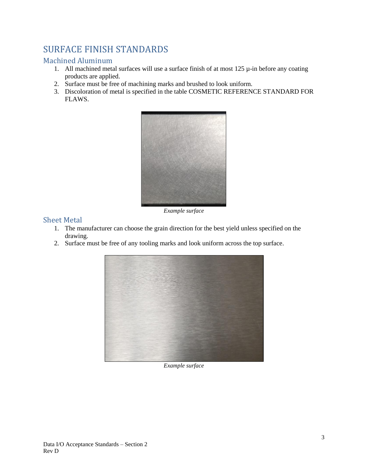## SURFACE FINISH STANDARDS

### Machined Aluminum

- 1. All machined metal surfaces will use a surface finish of at most  $125 \mu$ -in before any coating products are applied.
- 2. Surface must be free of machining marks and brushed to look uniform.
- 3. Discoloration of metal is specified in the table COSMETIC REFERENCE STANDARD FOR FLAWS.



*Example surface*

#### Sheet Metal

- 1. The manufacturer can choose the grain direction for the best yield unless specified on the drawing.
- 2. Surface must be free of any tooling marks and look uniform across the top surface.



*Example surface*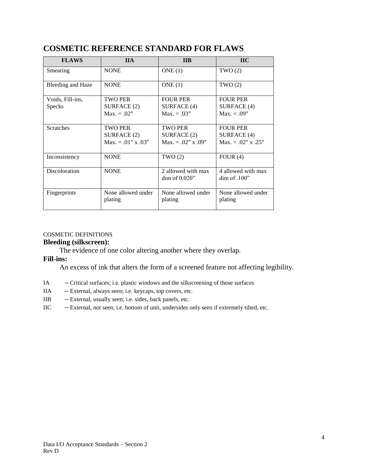| <b>FLAWS</b>                      | <b>IIA</b>                                                   | <b>IIB</b>                                             | <b>IIC</b>                                              |
|-----------------------------------|--------------------------------------------------------------|--------------------------------------------------------|---------------------------------------------------------|
| Smearing                          | <b>NONE</b>                                                  | ONE(1)                                                 | TWO(2)                                                  |
| Bleeding and Haze                 | <b>NONE</b>                                                  | ONE $(1)$                                              | TWO(2)                                                  |
| Voids, Fill-ins,<br><b>Specks</b> | <b>TWO PER</b><br>SURFACE (2)<br>$Max. = .02"$               | <b>FOUR PER</b><br>SURFACE (4)<br>$Max. = .03"$        | <b>FOUR PER</b><br>SURFACE (4)<br>$Max. = .09"$         |
| <b>Scratches</b>                  | <b>TWO PER</b><br>SURFACE (2)<br>$Max. = .01'' \times .03''$ | <b>TWO PER</b><br>SURFACE (2)<br>$Max. = .02''$ x .09" | <b>FOUR PER</b><br>SURFACE (4)<br>$Max. = .02''$ x .25" |
| Inconsistency                     | <b>NONE</b>                                                  | TWO(2)                                                 | FOUR $(4)$                                              |
| <b>Discoloration</b>              | <b>NONE</b>                                                  | 2 allowed with max<br>$\dim$ of 0.020"                 | 4 allowed with max<br>dim of .100"                      |
| Fingerprints                      | None allowed under<br>plating                                | None allowed under<br>plating                          | None allowed under<br>plating                           |

## **COSMETIC REFERENCE STANDARD FOR FLAWS**

#### COSMETIC DEFINITIONS

### **Bleeding (silkscreen):**

The evidence of one color altering another where they overlap.

#### **Fill-ins:**

An excess of ink that alters the form of a screened feature not affecting legibility.

- IA **–** Critical surfaces; i.e. plastic windows and the silkscreening of those surfaces
- IIA **–** External, always seen; i.e. keycaps, top covers, etc.
- IIB **–** External, usually seen; i.e. sides, back panels, etc.
- IIC **–** External, not seen; i.e. bottom of unit, undersides only seen if extremely tilted, etc.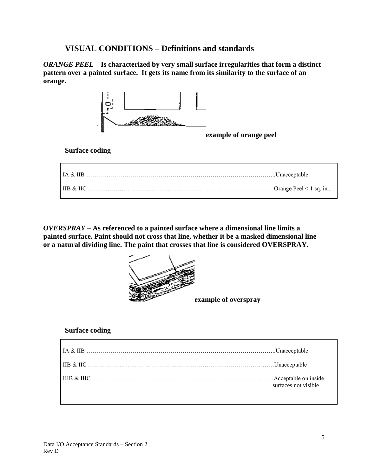## **VISUAL CONDITIONS – Definitions and standards**

*ORANGE PEEL* **– Is characterized by very small surface irregularities that form a distinct pattern over a painted surface. It gets its name from its similarity to the surface of an orange.**



#### **Surface coding**

*OVERSPRAY* **– As referenced to a painted surface where a dimensional line limits a painted surface. Paint should not cross that line, whether it be a masked dimensional line or a natural dividing line. The paint that crosses that line is considered OVERSPRAY.**



**example of overspray**

#### **Surface coding**

| surfaces not visible |
|----------------------|